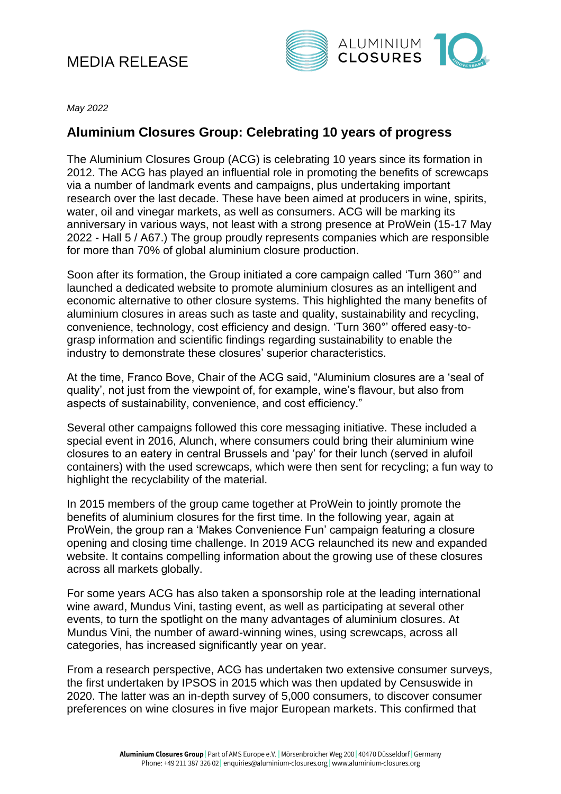## MEDIA RELEASE



*May 2022*

## **Aluminium Closures Group: Celebrating 10 years of progress**

The Aluminium Closures Group (ACG) is celebrating 10 years since its formation in 2012. The ACG has played an influential role in promoting the benefits of screwcaps via a number of landmark events and campaigns, plus undertaking important research over the last decade. These have been aimed at producers in wine, spirits, water, oil and vinegar markets, as well as consumers. ACG will be marking its anniversary in various ways, not least with a strong presence at ProWein (15-17 May 2022 - Hall 5 / A67.) The group proudly represents companies which are responsible for more than 70% of global aluminium closure production.

Soon after its formation, the Group initiated a core campaign called 'Turn 360°' and launched a dedicated website to promote aluminium closures as an intelligent and economic alternative to other closure systems. This highlighted the many benefits of aluminium closures in areas such as taste and quality, sustainability and recycling, convenience, technology, cost efficiency and design. 'Turn 360°' offered easy-tograsp information and scientific findings regarding sustainability to enable the industry to demonstrate these closures' superior characteristics.

At the time, Franco Bove, Chair of the ACG said, "Aluminium closures are a 'seal of quality', not just from the viewpoint of, for example, wine's flavour, but also from aspects of sustainability, convenience, and cost efficiency."

Several other campaigns followed this core messaging initiative. These included a special event in 2016, Alunch, where consumers could bring their aluminium wine closures to an eatery in central Brussels and 'pay' for their lunch (served in alufoil containers) with the used screwcaps, which were then sent for recycling; a fun way to highlight the recyclability of the material.

In 2015 members of the group came together at ProWein to jointly promote the benefits of aluminium closures for the first time. In the following year, again at ProWein, the group ran a 'Makes Convenience Fun' campaign featuring a closure opening and closing time challenge. In 2019 ACG relaunched its new and expanded website. It contains compelling information about the growing use of these closures across all markets globally.

For some years ACG has also taken a sponsorship role at the leading international wine award, Mundus Vini, tasting event, as well as participating at several other events, to turn the spotlight on the many advantages of aluminium closures. At Mundus Vini, the number of award-winning wines, using screwcaps, across all categories, has increased significantly year on year.

From a research perspective, ACG has undertaken two extensive consumer surveys, the first undertaken by IPSOS in 2015 which was then updated by Censuswide in 2020. The latter was an in-depth survey of 5,000 consumers, to discover consumer preferences on wine closures in five major European markets. This confirmed that